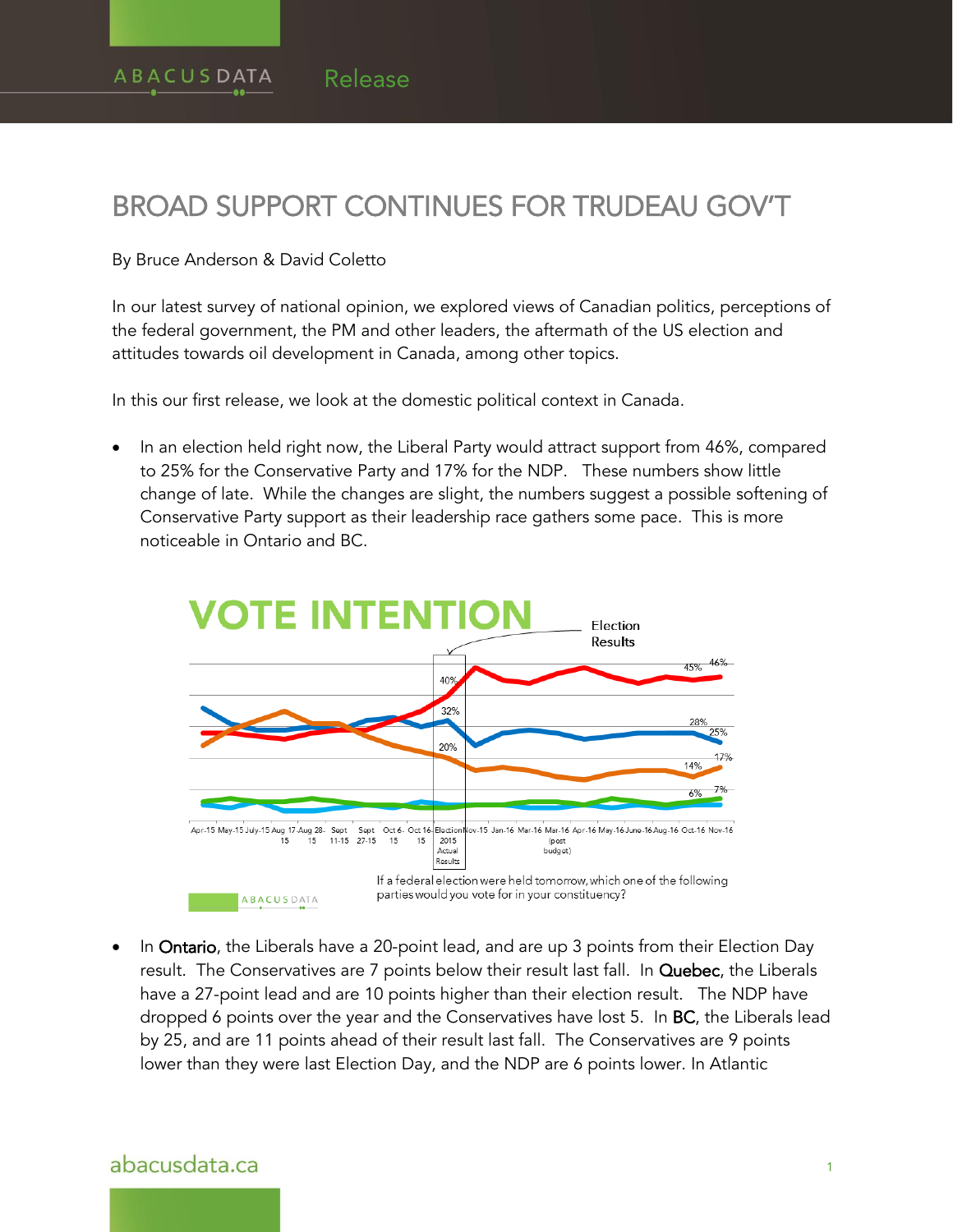# BROAD SUPPORT CONTINUES FOR TRUDEAU GOV'T

#### By Bruce Anderson & David Coletto

In our latest survey of national opinion, we explored views of Canadian politics, perceptions of the federal government, the PM and other leaders, the aftermath of the US election and attitudes towards oil development in Canada, among other topics.

In this our first release, we look at the domestic political context in Canada.

 In an election held right now, the Liberal Party would attract support from 46%, compared to 25% for the Conservative Party and 17% for the NDP. These numbers show little change of late. While the changes are slight, the numbers suggest a possible softening of Conservative Party support as their leadership race gathers some pace. This is more noticeable in Ontario and BC.



In **Ontario**, the Liberals have a 20-point lead, and are up 3 points from their Election Day result. The Conservatives are 7 points below their result last fall. In Quebec, the Liberals have a 27-point lead and are 10 points higher than their election result. The NDP have dropped 6 points over the year and the Conservatives have lost 5. In BC, the Liberals lead by 25, and are 11 points ahead of their result last fall. The Conservatives are 9 points lower than they were last Election Day, and the NDP are 6 points lower. In Atlantic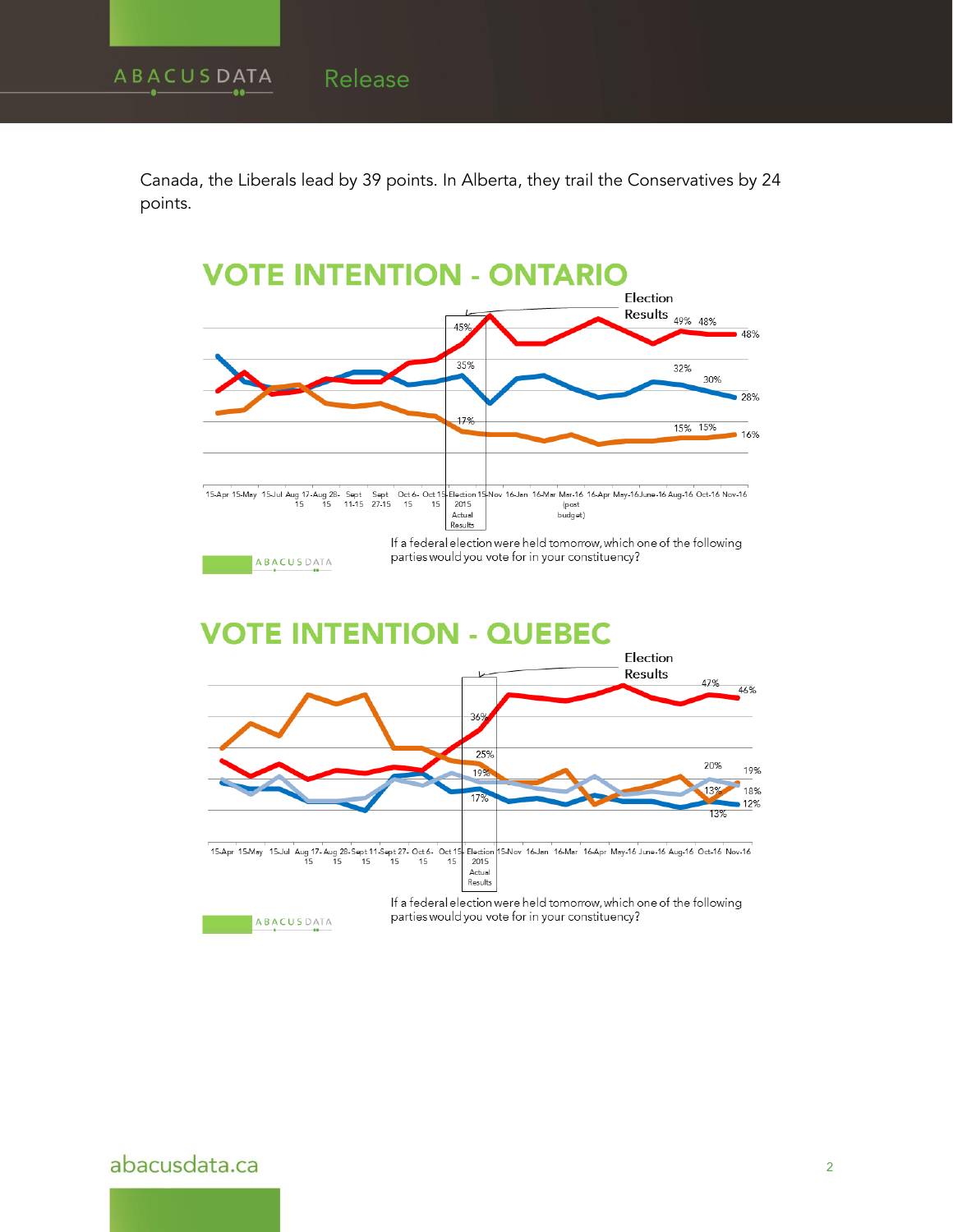Canada, the Liberals lead by 39 points. In Alberta, they trail the Conservatives by 24 points.

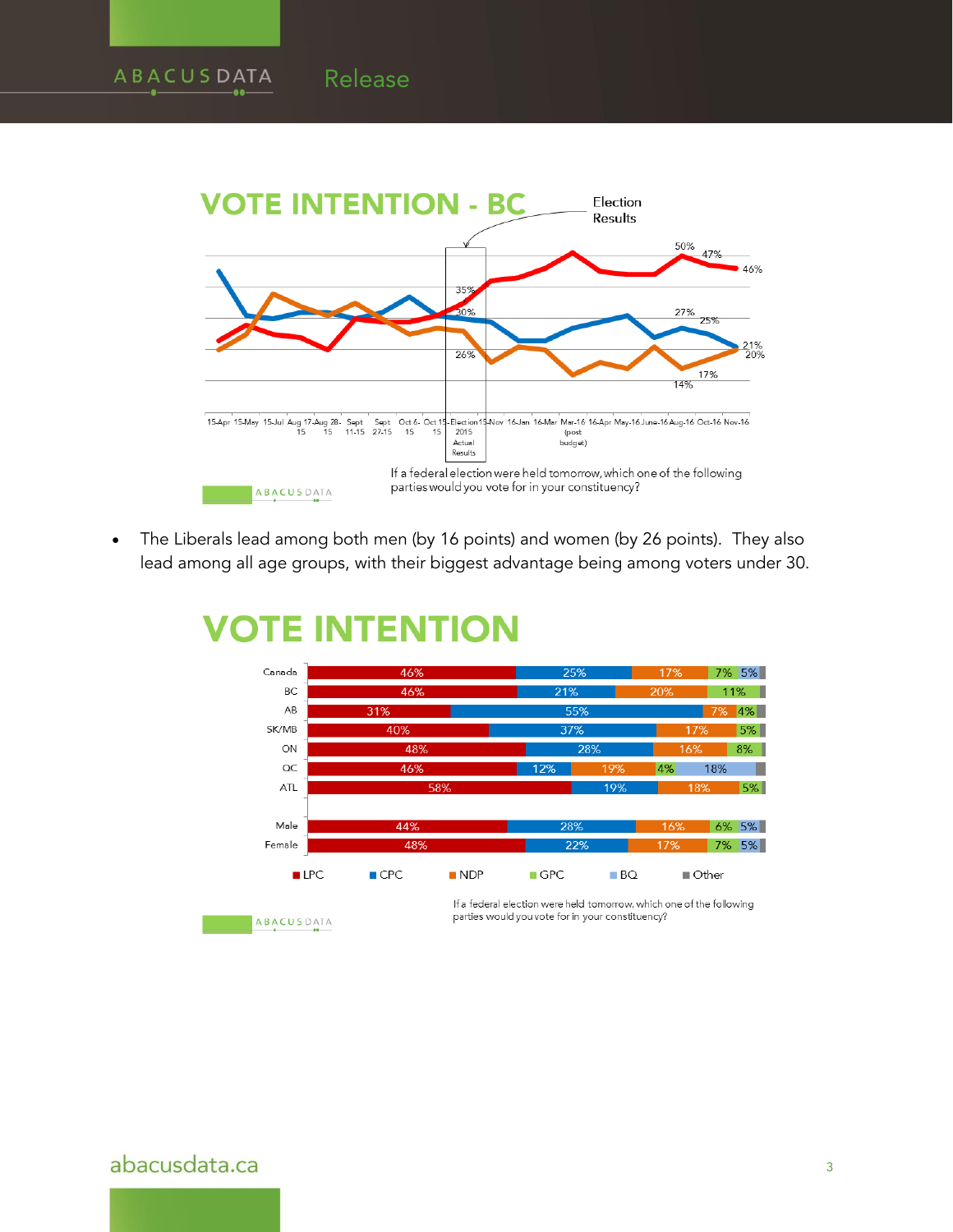

 The Liberals lead among both men (by 16 points) and women (by 26 points). They also lead among all age groups, with their biggest advantage being among voters under 30.



#### **INTENTION VOTE**

Release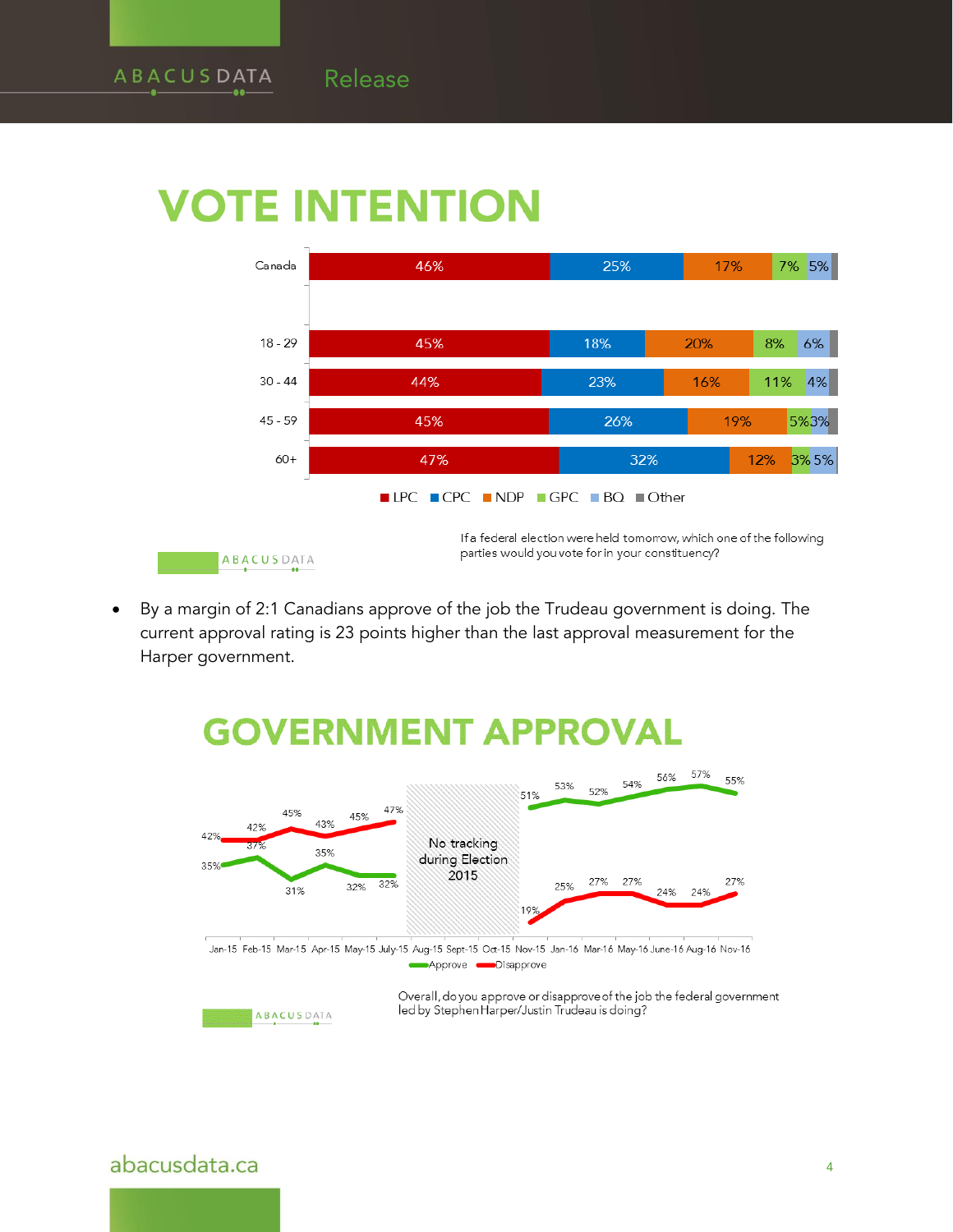Release



 By a margin of 2:1 Canadians approve of the job the Trudeau government is doing. The current approval rating is 23 points higher than the last approval measurement for the Harper government.

# **GOVERNMENT APPROVAL**



Jan-15 Feb-15 Mar-15 Apr-15 May-15 July-15 Aug-15 Sept-15 Oct-15 Nov-15 Jan-16 Mar-16 May-16 June-16 Aug-16 Nov-16 Approve **Disapprove** 



Overall, do you approve or disapprove of the job the federal government led by Stephen Harper/Justin Trudeau is doing?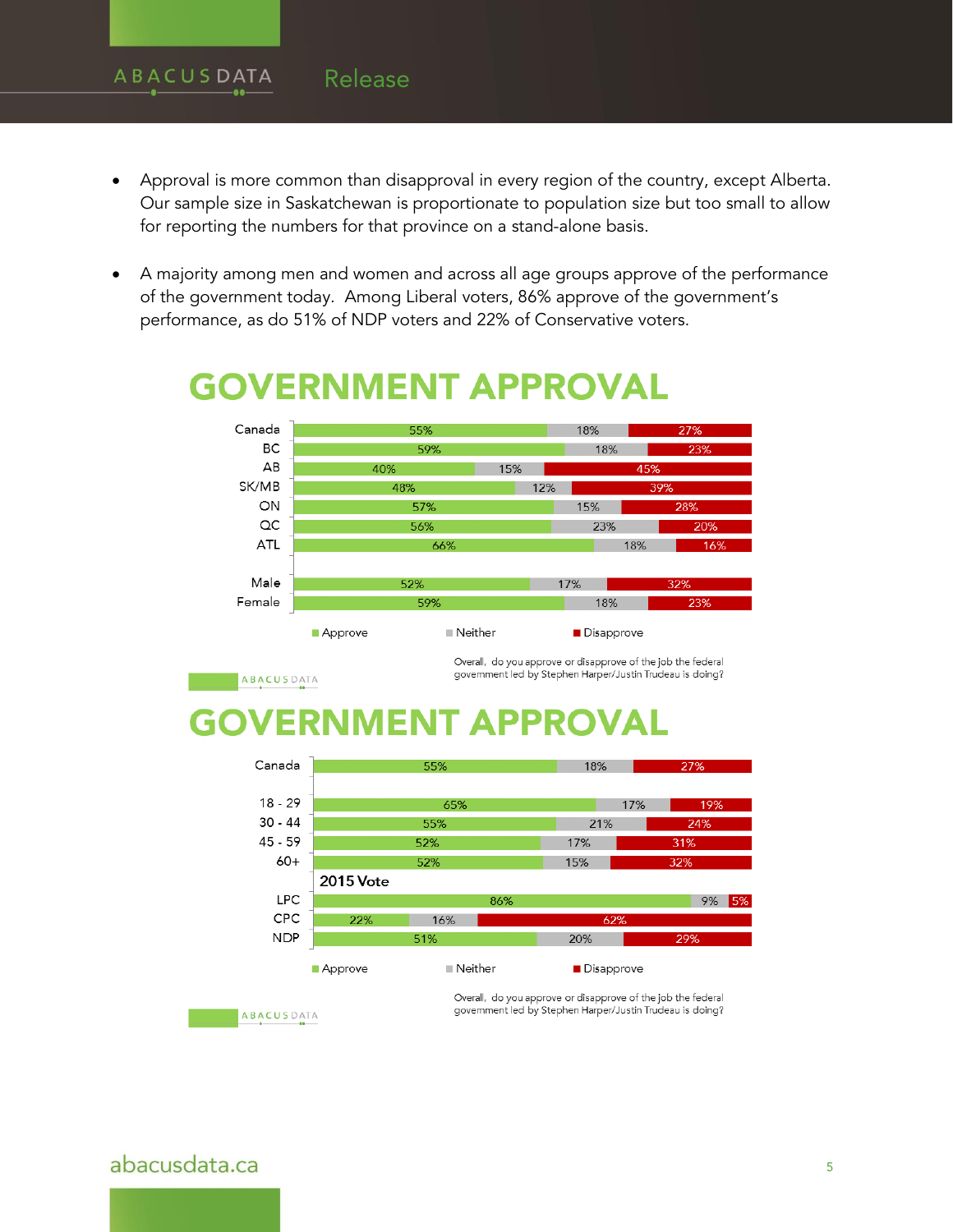#### **ABACUSDATA** Release

- Approval is more common than disapproval in every region of the country, except Alberta. Our sample size in Saskatchewan is proportionate to population size but too small to allow for reporting the numbers for that province on a stand-alone basis.
- A majority among men and women and across all age groups approve of the performance of the government today. Among Liberal voters, 86% approve of the government's performance, as do 51% of NDP voters and 22% of Conservative voters.



# **GOVERNMENT APPROVAL**

ABACUSDATA

Overall, do you approve or disapprove of the job the federal government led by Stephen Harper/Justin Trudeau is doing?

### UMENT APP ь



**ABACUSDATA** 

Overall, do you approve or disapprove of the job the federal government led by Stephen Harper/Justin Trudeau is doing?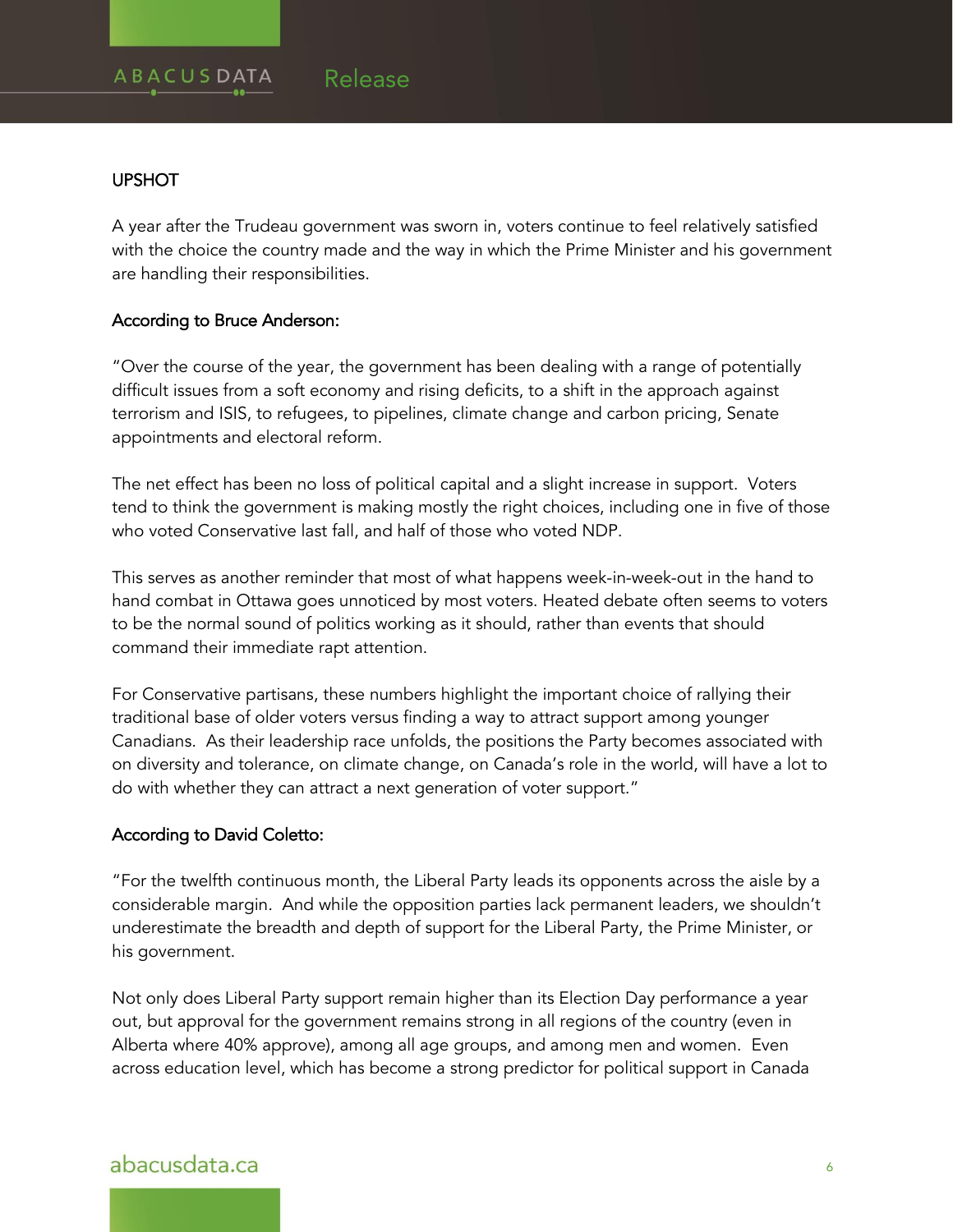#### **UPSHOT**

A year after the Trudeau government was sworn in, voters continue to feel relatively satisfied with the choice the country made and the way in which the Prime Minister and his government are handling their responsibilities.

#### According to Bruce Anderson:

"Over the course of the year, the government has been dealing with a range of potentially difficult issues from a soft economy and rising deficits, to a shift in the approach against terrorism and ISIS, to refugees, to pipelines, climate change and carbon pricing, Senate appointments and electoral reform.

The net effect has been no loss of political capital and a slight increase in support. Voters tend to think the government is making mostly the right choices, including one in five of those who voted Conservative last fall, and half of those who voted NDP.

This serves as another reminder that most of what happens week-in-week-out in the hand to hand combat in Ottawa goes unnoticed by most voters. Heated debate often seems to voters to be the normal sound of politics working as it should, rather than events that should command their immediate rapt attention.

For Conservative partisans, these numbers highlight the important choice of rallying their traditional base of older voters versus finding a way to attract support among younger Canadians. As their leadership race unfolds, the positions the Party becomes associated with on diversity and tolerance, on climate change, on Canada's role in the world, will have a lot to do with whether they can attract a next generation of voter support."

#### According to David Coletto:

"For the twelfth continuous month, the Liberal Party leads its opponents across the aisle by a considerable margin. And while the opposition parties lack permanent leaders, we shouldn't underestimate the breadth and depth of support for the Liberal Party, the Prime Minister, or his government.

Not only does Liberal Party support remain higher than its Election Day performance a year out, but approval for the government remains strong in all regions of the country (even in Alberta where 40% approve), among all age groups, and among men and women. Even across education level, which has become a strong predictor for political support in Canada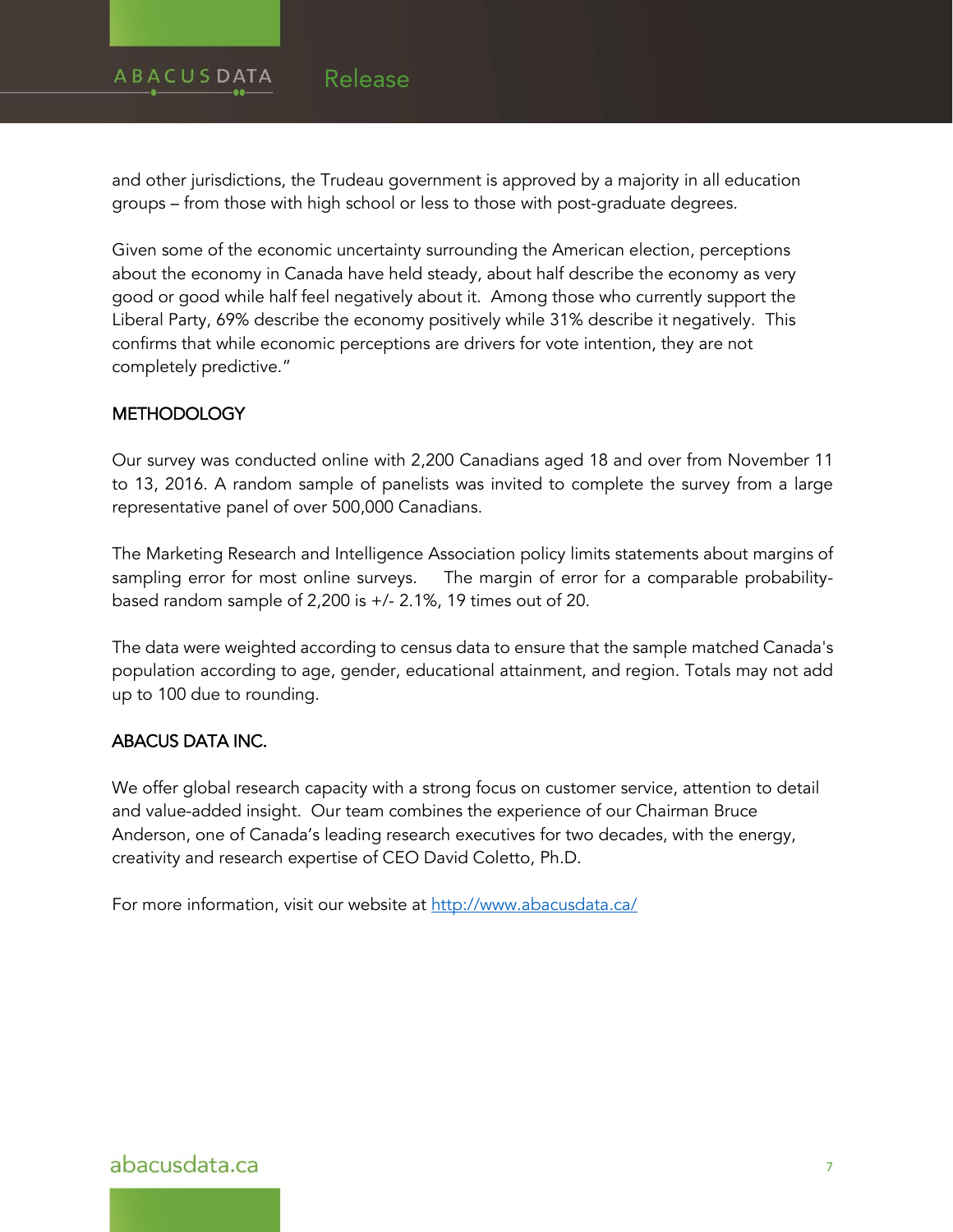#### **ABACUSDATA** Release

and other jurisdictions, the Trudeau government is approved by a majority in all education groups – from those with high school or less to those with post-graduate degrees.

Given some of the economic uncertainty surrounding the American election, perceptions about the economy in Canada have held steady, about half describe the economy as very good or good while half feel negatively about it. Among those who currently support the Liberal Party, 69% describe the economy positively while 31% describe it negatively. This confirms that while economic perceptions are drivers for vote intention, they are not completely predictive."

#### **METHODOLOGY**

Our survey was conducted online with 2,200 Canadians aged 18 and over from November 11 to 13, 2016. A random sample of panelists was invited to complete the survey from a large representative panel of over 500,000 Canadians.

The Marketing Research and Intelligence Association policy limits statements about margins of sampling error for most online surveys. The margin of error for a comparable probabilitybased random sample of 2,200 is +/- 2.1%, 19 times out of 20.

The data were weighted according to census data to ensure that the sample matched Canada's population according to age, gender, educational attainment, and region. Totals may not add up to 100 due to rounding.

### ABACUS DATA INC.

We offer global research capacity with a strong focus on customer service, attention to detail and value-added insight. Our team combines the experience of our Chairman Bruce Anderson, one of Canada's leading research executives for two decades, with the energy, creativity and research expertise of CEO David Coletto, Ph.D.

For more information, visit our website at<http://www.abacusdata.ca/>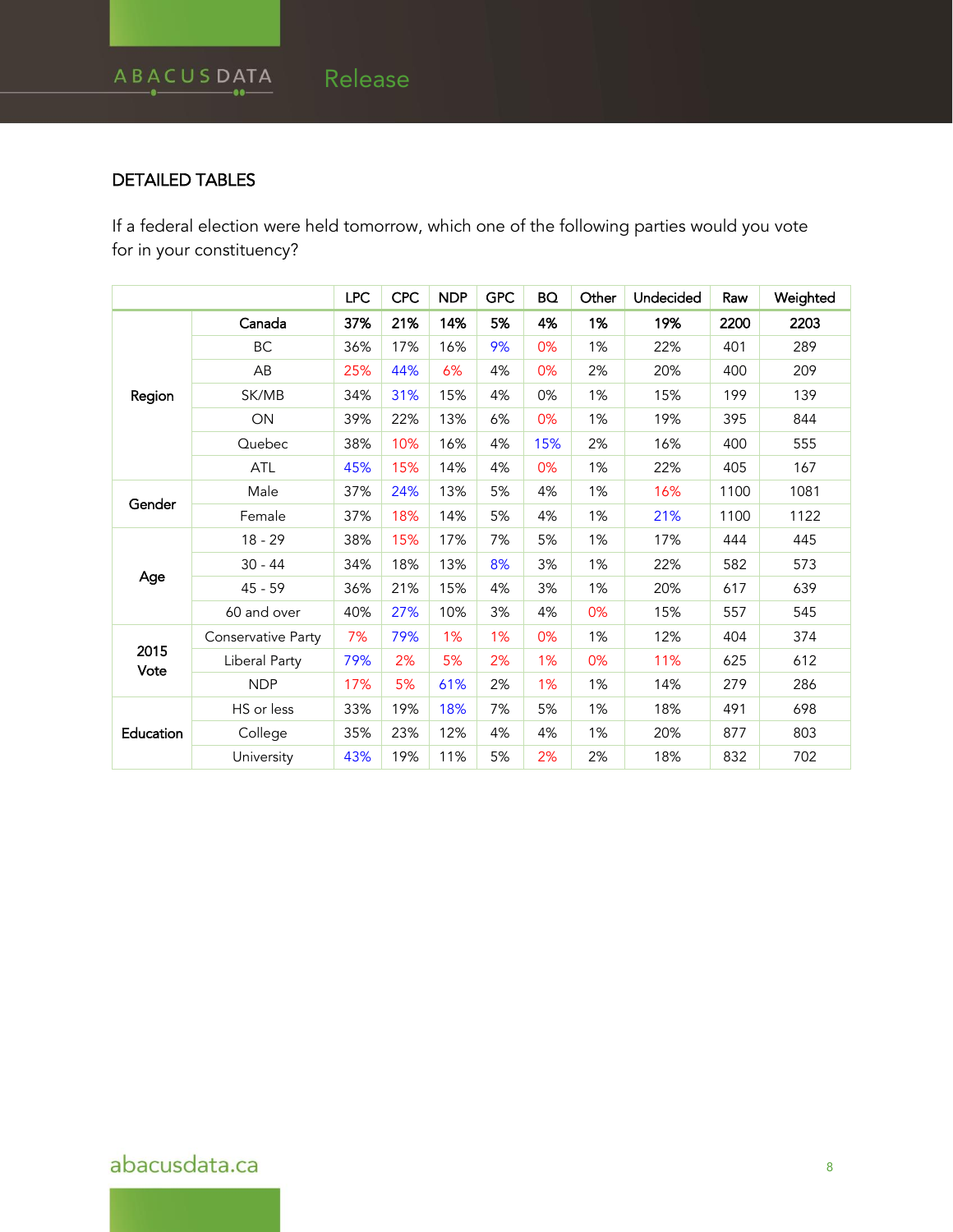### DETAILED TABLES

If a federal election were held tomorrow, which one of the following parties would you vote for in your constituency?

|              |                    | <b>LPC</b> | <b>CPC</b> | <b>NDP</b> | <b>GPC</b> | <b>BQ</b> | Other | Undecided | Raw  | Weighted |
|--------------|--------------------|------------|------------|------------|------------|-----------|-------|-----------|------|----------|
| Region       | Canada             | 37%        | 21%        | 14%        | 5%         | 4%        | 1%    | 19%       | 2200 | 2203     |
|              | ВC                 | 36%        | 17%        | 16%        | 9%         | 0%        | 1%    | 22%       | 401  | 289      |
|              | AB                 | 25%        | 44%        | 6%         | 4%         | 0%        | 2%    | 20%       | 400  | 209      |
|              | SK/MB              | 34%        | 31%        | 15%        | 4%         | 0%        | 1%    | 15%       | 199  | 139      |
|              | ON                 | 39%        | 22%        | 13%        | 6%         | 0%        | 1%    | 19%       | 395  | 844      |
|              | Quebec             | 38%        | 10%        | 16%        | 4%         | 15%       | 2%    | 16%       | 400  | 555      |
|              | ATL                | 45%        | 15%        | 14%        | 4%         | 0%        | 1%    | 22%       | 405  | 167      |
| Gender       | Male               | 37%        | 24%        | 13%        | 5%         | 4%        | 1%    | 16%       | 1100 | 1081     |
|              | Female             | 37%        | 18%        | 14%        | 5%         | 4%        | 1%    | 21%       | 1100 | 1122     |
| Age          | $18 - 29$          | 38%        | 15%        | 17%        | 7%         | 5%        | 1%    | 17%       | 444  | 445      |
|              | $30 - 44$          | 34%        | 18%        | 13%        | 8%         | 3%        | 1%    | 22%       | 582  | 573      |
|              | 45 - 59            | 36%        | 21%        | 15%        | 4%         | 3%        | 1%    | 20%       | 617  | 639      |
|              | 60 and over        | 40%        | 27%        | 10%        | 3%         | 4%        | 0%    | 15%       | 557  | 545      |
| 2015<br>Vote | Conservative Party | 7%         | 79%        | 1%         | 1%         | 0%        | 1%    | 12%       | 404  | 374      |
|              | Liberal Party      | 79%        | 2%         | 5%         | 2%         | 1%        | 0%    | 11%       | 625  | 612      |
|              | <b>NDP</b>         | 17%        | 5%         | 61%        | 2%         | 1%        | 1%    | 14%       | 279  | 286      |
| Education    | HS or less         | 33%        | 19%        | 18%        | 7%         | 5%        | 1%    | 18%       | 491  | 698      |
|              | College            | 35%        | 23%        | 12%        | 4%         | 4%        | 1%    | 20%       | 877  | 803      |
|              | University         | 43%        | 19%        | 11%        | 5%         | 2%        | 2%    | 18%       | 832  | 702      |